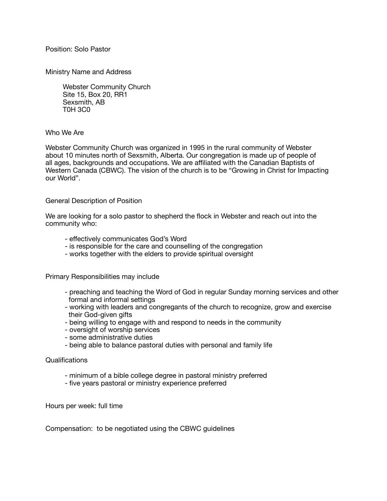Position: Solo Pastor

Ministry Name and Address

 Webster Community Church Site 15, Box 20, RR1 Sexsmith, AB T0H 3C0

## Who We Are

Webster Community Church was organized in 1995 in the rural community of Webster about 10 minutes north of Sexsmith, Alberta. Our congregation is made up of people of all ages, backgrounds and occupations. We are affiliated with the Canadian Baptists of Western Canada (CBWC). The vision of the church is to be "Growing in Christ for Impacting our World".

## General Description of Position

We are looking for a solo pastor to shepherd the flock in Webster and reach out into the community who:

- effectively communicates God's Word
- is responsible for the care and counselling of the congregation
- works together with the elders to provide spiritual oversight

Primary Responsibilities may include

- preaching and teaching the Word of God in regular Sunday morning services and other formal and informal settings
- working with leaders and congregants of the church to recognize, grow and exercise their God-given gifts
- being willing to engage with and respond to needs in the community
- oversight of worship services
- some administrative duties
- being able to balance pastoral duties with personal and family life

## Qualifications

- minimum of a bible college degree in pastoral ministry preferred
- five years pastoral or ministry experience preferred

Hours per week: full time

Compensation: to be negotiated using the CBWC guidelines